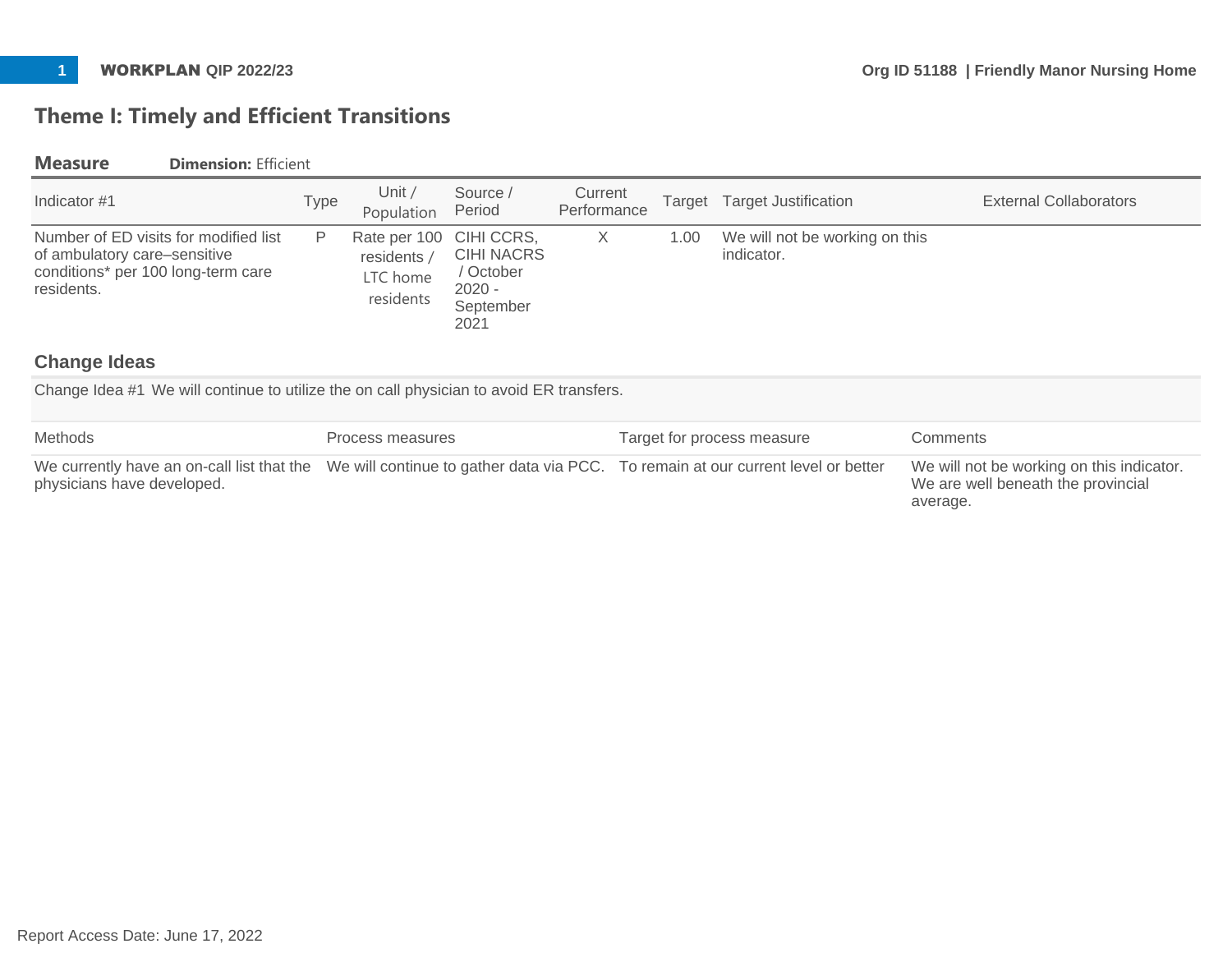# **Theme I: Timely and Efficient Transitions**

### **Measure Dimension:** Efficient

| Indicator #1                                                                                                              | Type | Unit /<br>Population                                            | Source /<br>Period                                              | Current<br>Performance |      | Target Target Justification                  | <b>External Collaborators</b> |
|---------------------------------------------------------------------------------------------------------------------------|------|-----------------------------------------------------------------|-----------------------------------------------------------------|------------------------|------|----------------------------------------------|-------------------------------|
| Number of ED visits for modified list<br>of ambulatory care-sensitive<br>conditions* per 100 long-term care<br>residents. | P    | Rate per 100 CIHI CCRS,<br>residents /<br>LTC home<br>residents | <b>CIHI NACRS</b><br>/ October<br>$2020 -$<br>September<br>2021 | X                      | 1.00 | We will not be working on this<br>indicator. |                               |

## **Change Ideas**

Change Idea #1 We will continue to utilize the on call physician to avoid ER transfers.

| Methods                    | Process measures                                                                                                             | Target for process measure | Comments                                                                                    |
|----------------------------|------------------------------------------------------------------------------------------------------------------------------|----------------------------|---------------------------------------------------------------------------------------------|
| physicians have developed. | We currently have an on-call list that the We will continue to gather data via PCC. To remain at our current level or better |                            | We will not be working on this indicator.<br>We are well beneath the provincial<br>average. |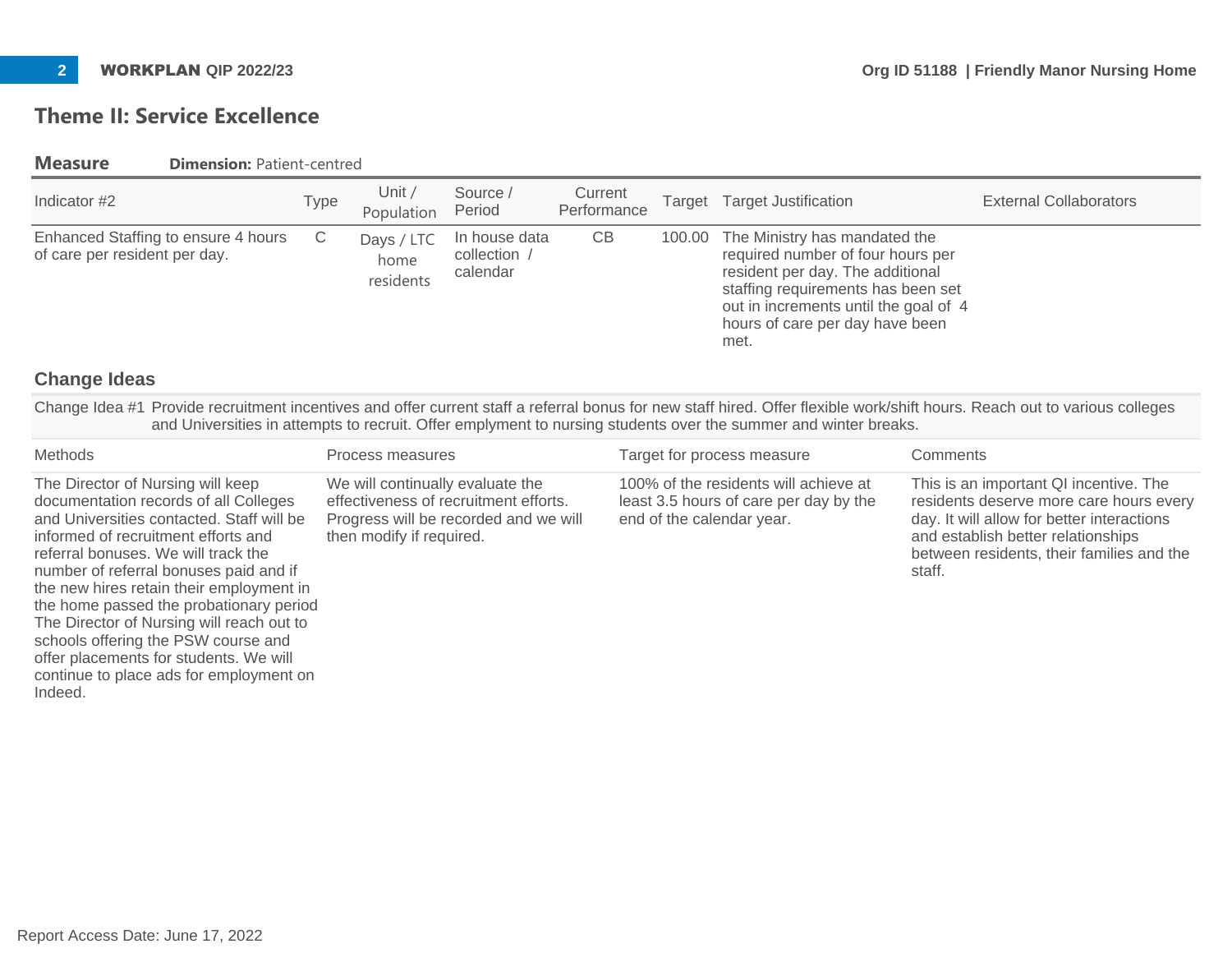# **Theme II: Service Excellence**

**Measure Dimension: Patient-centred** 

| Indicator #2                                                         | Type | Unit $/$<br>Population          | Source /<br>Period                        | Current<br>Performance | Target Target Justification                                                                                                                                                                                                             | <b>External Collaborators</b> |
|----------------------------------------------------------------------|------|---------------------------------|-------------------------------------------|------------------------|-----------------------------------------------------------------------------------------------------------------------------------------------------------------------------------------------------------------------------------------|-------------------------------|
| Enhanced Staffing to ensure 4 hours<br>of care per resident per day. | C    | Days / LTC<br>home<br>residents | In house data<br>collection /<br>calendar | CВ                     | 100.00 The Ministry has mandated the<br>required number of four hours per<br>resident per day. The additional<br>staffing requirements has been set<br>out in increments until the goal of 4<br>hours of care per day have been<br>met. |                               |

### **Change Ideas**

Change Idea #1 Provide recruitment incentives and offer current staff a referral bonus for new staff hired. Offer flexible work/shift hours. Reach out to various colleges and Universities in attempts to recruit. Offer emplyment to nursing students over the summer and winter breaks.

| Methods                                                                                                                                                                                                                                                                                                                                                                                                                                                                                                                    | Process measures                                                                                                                               | Target for process measure                                                                                   | Comments                                                                                                                                                                                                                     |
|----------------------------------------------------------------------------------------------------------------------------------------------------------------------------------------------------------------------------------------------------------------------------------------------------------------------------------------------------------------------------------------------------------------------------------------------------------------------------------------------------------------------------|------------------------------------------------------------------------------------------------------------------------------------------------|--------------------------------------------------------------------------------------------------------------|------------------------------------------------------------------------------------------------------------------------------------------------------------------------------------------------------------------------------|
| The Director of Nursing will keep<br>documentation records of all Colleges<br>and Universities contacted. Staff will be<br>informed of recruitment efforts and<br>referral bonuses. We will track the<br>number of referral bonuses paid and if<br>the new hires retain their employment in<br>the home passed the probationary period<br>The Director of Nursing will reach out to<br>schools offering the PSW course and<br>offer placements for students. We will<br>continue to place ads for employment on<br>Indeed. | We will continually evaluate the<br>effectiveness of recruitment efforts.<br>Progress will be recorded and we will<br>then modify if required. | 100% of the residents will achieve at<br>least 3.5 hours of care per day by the<br>end of the calendar year. | This is an important QI incentive. The<br>residents deserve more care hours every<br>day. It will allow for better interactions<br>and establish better relationships<br>between residents, their families and the<br>staff. |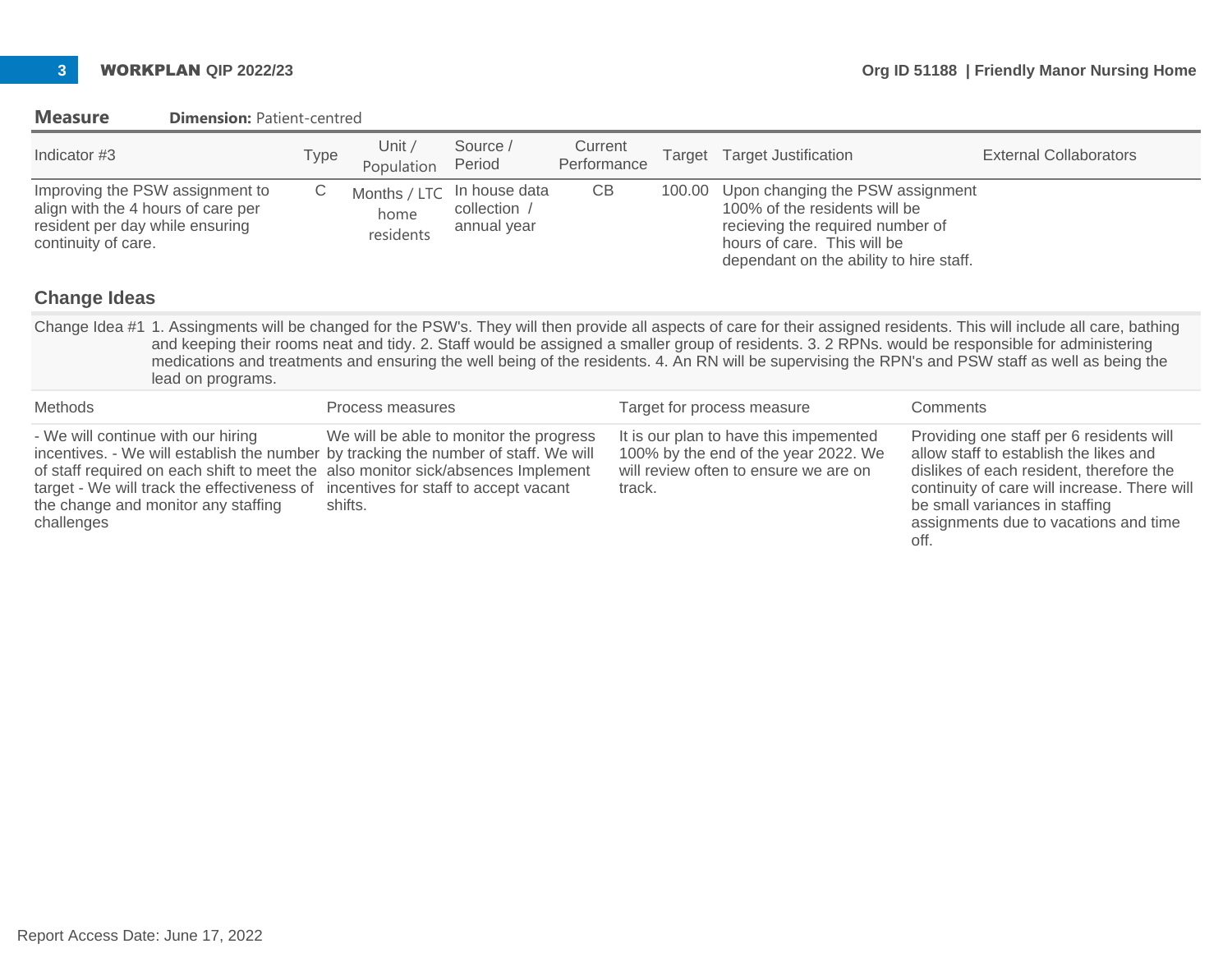| <b>Measure</b> |  | <b>Dimension: Patient-centred</b> |
|----------------|--|-----------------------------------|
|----------------|--|-----------------------------------|

| Indicator #3                                                                                                                                                              | Type | Unit $/$<br>Population | Source /<br>Period                                        | Current<br>Performance | Target | <b>Target Justification</b>                                                                                                                                                     | <b>External Collaborators</b> |
|---------------------------------------------------------------------------------------------------------------------------------------------------------------------------|------|------------------------|-----------------------------------------------------------|------------------------|--------|---------------------------------------------------------------------------------------------------------------------------------------------------------------------------------|-------------------------------|
| Improving the PSW assignment to<br>align with the 4 hours of care per<br>resident per day while ensuring<br>continuity of care.                                           | С    | home<br>residents      | Months / LTC In house data<br>collection /<br>annual year | CB                     | 100.00 | Upon changing the PSW assignment<br>100% of the residents will be<br>recieving the required number of<br>hours of care. This will be<br>dependant on the ability to hire staff. |                               |
| <b>Change Ideas</b>                                                                                                                                                       |      |                        |                                                           |                        |        |                                                                                                                                                                                 |                               |
| Change Idea #1 1. Assingments will be changed for the PSW's. They will then provide all aspects of care for their assigned residents. This will include all care, bathing |      |                        |                                                           |                        |        |                                                                                                                                                                                 |                               |

Change Idea #1 1. Assingments will be changed for the PSW's. They will then provide all aspects of care for their assigned residents. This will include all care, bathing and keeping their rooms neat and tidy. 2. Staff would be assigned a smaller group of residents. 3. 2 RPNs. would be responsible for administering medications and treatments and ensuring the well being of the residents. 4. An RN will be supervising the RPN's and PSW staff as well as being the lead on programs.

| Methods                                                                                                                                                                                                                                                                                                                                                 | Process measures                                   | Target for process measure                                                                                                        | <b>Comments</b>                                                                                                                                                                                                                                                   |
|---------------------------------------------------------------------------------------------------------------------------------------------------------------------------------------------------------------------------------------------------------------------------------------------------------------------------------------------------------|----------------------------------------------------|-----------------------------------------------------------------------------------------------------------------------------------|-------------------------------------------------------------------------------------------------------------------------------------------------------------------------------------------------------------------------------------------------------------------|
| - We will continue with our hiring<br>incentives. - We will establish the number by tracking the number of staff. We will<br>of staff required on each shift to meet the also monitor sick/absences Implement<br>target - We will track the effectiveness of incentives for staff to accept vacant<br>the change and monitor any staffing<br>challenges | We will be able to monitor the progress<br>shifts. | It is our plan to have this impemented<br>100% by the end of the year 2022. We<br>will review often to ensure we are on<br>track. | Providing one staff per 6 residents will<br>allow staff to establish the likes and<br>dislikes of each resident, therefore the<br>continuity of care will increase. There will<br>be small variances in staffing<br>assignments due to vacations and time<br>off. |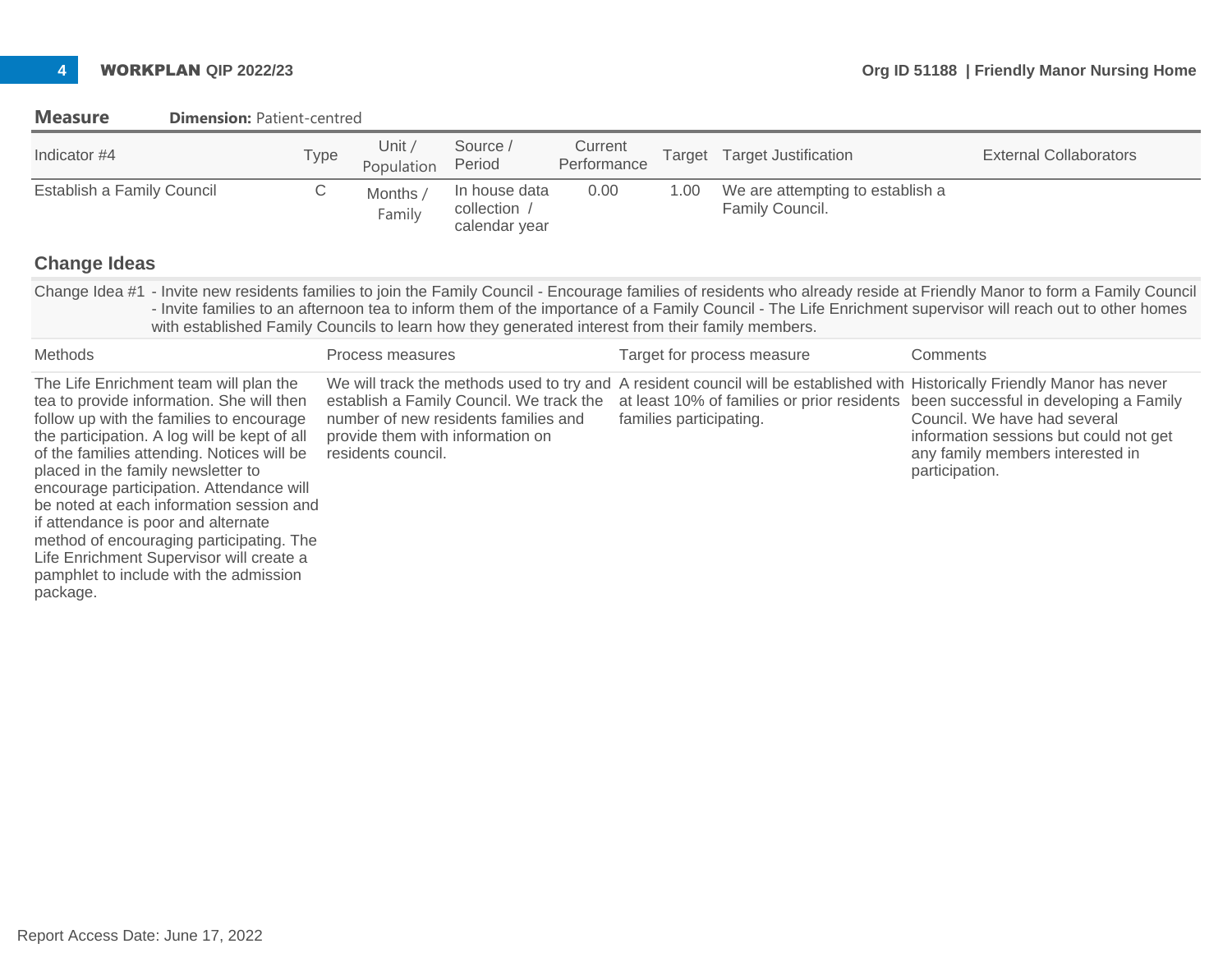| Indicator #4                                                                                                                                                                                                                                                                                                                                                                                                                                                                                                                                     | <b>Type</b> | Unit /<br>Population | Source /<br>Period                                                                                                   | Current<br>Performance | Target                  | <b>Target Justification</b>                                                                                                          | <b>External Collaborators</b>                                                                                                                                                                                                                                                                                                          |
|--------------------------------------------------------------------------------------------------------------------------------------------------------------------------------------------------------------------------------------------------------------------------------------------------------------------------------------------------------------------------------------------------------------------------------------------------------------------------------------------------------------------------------------------------|-------------|----------------------|----------------------------------------------------------------------------------------------------------------------|------------------------|-------------------------|--------------------------------------------------------------------------------------------------------------------------------------|----------------------------------------------------------------------------------------------------------------------------------------------------------------------------------------------------------------------------------------------------------------------------------------------------------------------------------------|
| Establish a Family Council                                                                                                                                                                                                                                                                                                                                                                                                                                                                                                                       | С           | Months /<br>Family   | In house data<br>collection /<br>calendar year                                                                       | 0.00                   | 1.00                    | We are attempting to establish a<br>Family Council.                                                                                  |                                                                                                                                                                                                                                                                                                                                        |
| <b>Change Ideas</b>                                                                                                                                                                                                                                                                                                                                                                                                                                                                                                                              |             |                      |                                                                                                                      |                        |                         |                                                                                                                                      |                                                                                                                                                                                                                                                                                                                                        |
| with established Family Councils to learn how they generated interest from their family members.                                                                                                                                                                                                                                                                                                                                                                                                                                                 |             |                      |                                                                                                                      |                        |                         |                                                                                                                                      | Change Idea #1 - Invite new residents families to join the Family Council - Encourage families of residents who already reside at Friendly Manor to form a Family Council<br>- Invite families to an afternoon tea to inform them of the importance of a Family Council - The Life Enrichment supervisor will reach out to other homes |
| <b>Methods</b>                                                                                                                                                                                                                                                                                                                                                                                                                                                                                                                                   |             | Process measures     |                                                                                                                      |                        |                         | Target for process measure                                                                                                           | Comments                                                                                                                                                                                                                                                                                                                               |
| The Life Enrichment team will plan the<br>tea to provide information. She will then<br>follow up with the families to encourage<br>the participation. A log will be kept of all<br>of the families attending. Notices will be<br>placed in the family newsletter to<br>encourage participation. Attendance will<br>be noted at each information session and<br>if attendance is poor and alternate<br>method of encouraging participating. The<br>Life Enrichment Supervisor will create a<br>pamphlet to include with the admission<br>package. |             | residents council.   | establish a Family Council. We track the<br>number of new residents families and<br>provide them with information on |                        | families participating. | We will track the methods used to try and A resident council will be established with<br>at least 10% of families or prior residents | Historically Friendly Manor has never<br>been successful in developing a Family<br>Council. We have had several<br>information sessions but could not get<br>any family members interested in<br>participation.                                                                                                                        |

#### **Measure Dimension: Patient-centred**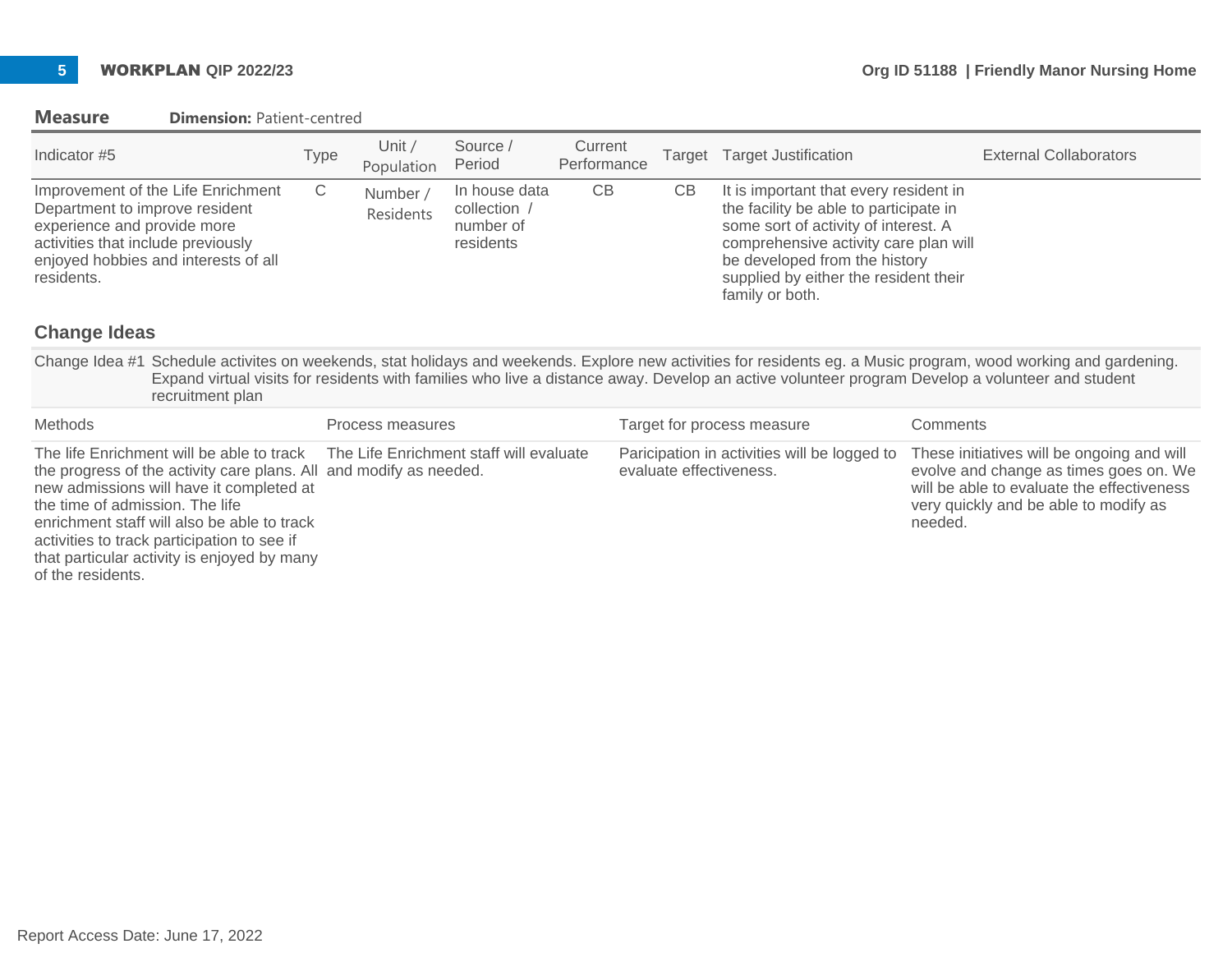#### **Measure Dimension: Patient-centred**

| Indicator #5                                                                                                                                                                                    | Type | Unit /<br>Population  | Source /<br>Period                                      | Current<br>Performance |    | Target Target Justification                                                                                                                                                                                                                                    | <b>External Collaborators</b> |
|-------------------------------------------------------------------------------------------------------------------------------------------------------------------------------------------------|------|-----------------------|---------------------------------------------------------|------------------------|----|----------------------------------------------------------------------------------------------------------------------------------------------------------------------------------------------------------------------------------------------------------------|-------------------------------|
| Improvement of the Life Enrichment<br>Department to improve resident<br>experience and provide more<br>activities that include previously<br>enjoyed hobbies and interests of all<br>residents. | С    | Number /<br>Residents | In house data<br>collection /<br>number of<br>residents | СB                     | CВ | It is important that every resident in<br>the facility be able to participate in<br>some sort of activity of interest. A<br>comprehensive activity care plan will<br>be developed from the history<br>supplied by either the resident their<br>family or both. |                               |

### **Change Ideas**

of the residents.

Change Idea #1 Schedule activites on weekends, stat holidays and weekends. Explore new activities for residents eg. a Music program, wood working and gardening. Expand virtual visits for residents with families who live a distance away. Develop an active volunteer program Develop a volunteer and student recruitment plan

| Methods                                                                                                                                                                                                                                                                                                                                                                             | Process measures | Target for process measure                                              | Comments                                                                                                                                                                               |
|-------------------------------------------------------------------------------------------------------------------------------------------------------------------------------------------------------------------------------------------------------------------------------------------------------------------------------------------------------------------------------------|------------------|-------------------------------------------------------------------------|----------------------------------------------------------------------------------------------------------------------------------------------------------------------------------------|
| The life Enrichment will be able to track The Life Enrichment staff will evaluate<br>the progress of the activity care plans. All and modify as needed.<br>new admissions will have it completed at<br>the time of admission. The life<br>enrichment staff will also be able to track<br>activities to track participation to see if<br>that particular activity is enjoyed by many |                  | Paricipation in activities will be logged to<br>evaluate effectiveness. | These initiatives will be ongoing and will<br>evolve and change as times goes on. We<br>will be able to evaluate the effectiveness<br>very quickly and be able to modify as<br>needed. |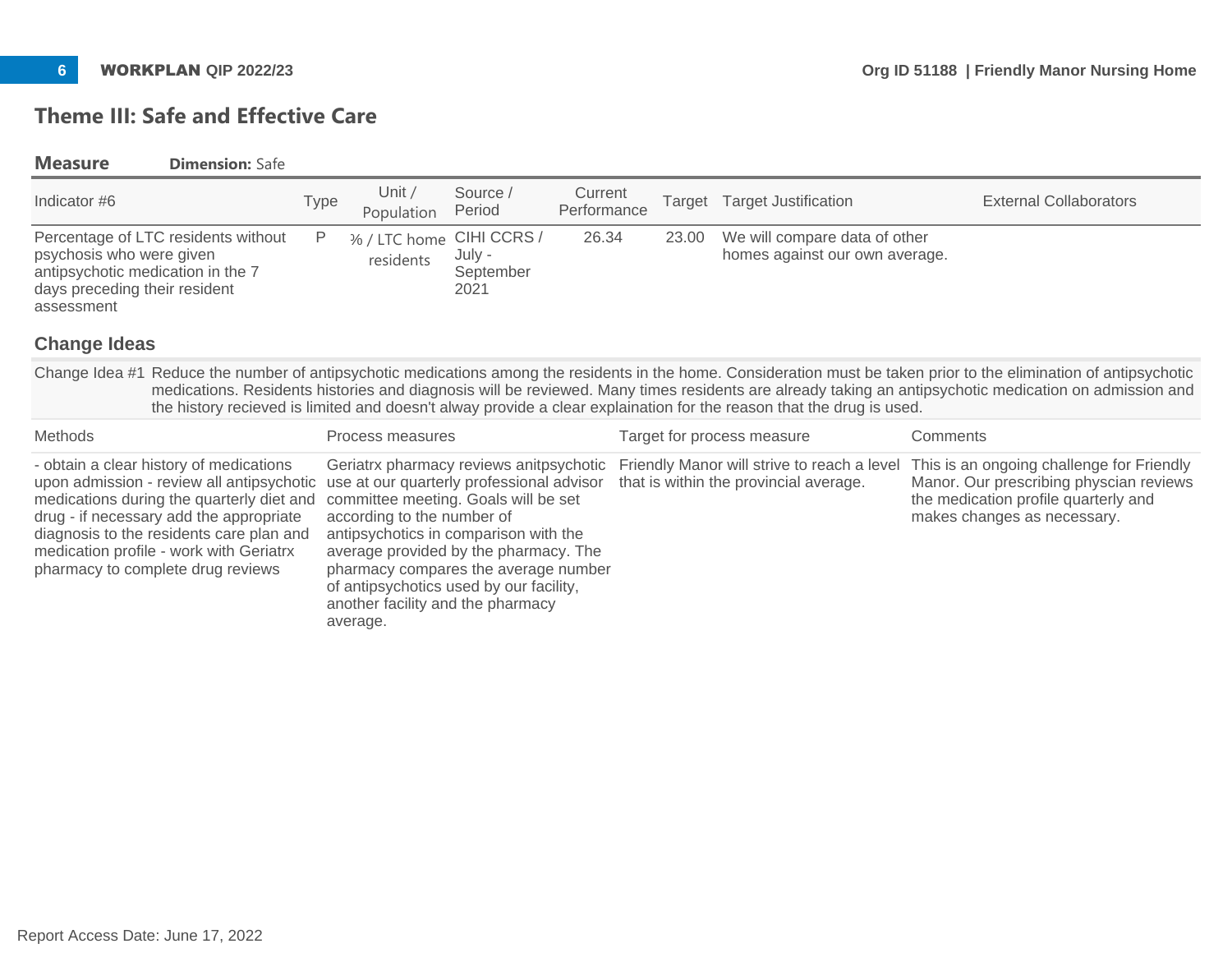# **Theme III: Safe and Effective Care**

### **Measure Dimension:** Safe

| Indicator #6                                                                                                                                        | Type | Unit,<br>Population                   | Source /<br>Period          | Current<br>Performance | Target Target Justification                                           | <b>External Collaborators</b> |
|-----------------------------------------------------------------------------------------------------------------------------------------------------|------|---------------------------------------|-----------------------------|------------------------|-----------------------------------------------------------------------|-------------------------------|
| Percentage of LTC residents without<br>psychosis who were given<br>antipsychotic medication in the 7<br>days preceding their resident<br>assessment | P    | % / LTC home CIHI CCRS /<br>residents | July -<br>September<br>2021 | 26.34                  | 23.00 We will compare data of other<br>homes against our own average. |                               |

### **Change Ideas**

Change Idea #1 Reduce the number of antipsychotic medications among the residents in the home. Consideration must be taken prior to the elimination of antipsychotic medications. Residents histories and diagnosis will be reviewed. Many times residents are already taking an antipsychotic medication on admission and the history recieved is limited and doesn't alway provide a clear explaination for the reason that the drug is used.

| Methods                                                                                                                                                                                                                                                     | Process measures                                                                                                                                                                                                                                                                                                                                                                                                       | Target for process measure                                                          | Comments                                                                                                                                                    |
|-------------------------------------------------------------------------------------------------------------------------------------------------------------------------------------------------------------------------------------------------------------|------------------------------------------------------------------------------------------------------------------------------------------------------------------------------------------------------------------------------------------------------------------------------------------------------------------------------------------------------------------------------------------------------------------------|-------------------------------------------------------------------------------------|-------------------------------------------------------------------------------------------------------------------------------------------------------------|
| - obtain a clear history of medications<br>medications during the quarterly diet and<br>drug - if necessary add the appropriate<br>diagnosis to the residents care plan and<br>medication profile - work with Geriatrx<br>pharmacy to complete drug reviews | upon admission - review all antipsychotic use at our quarterly professional advisor that is within the provincial average.<br>committee meeting. Goals will be set<br>according to the number of<br>antipsychotics in comparison with the<br>average provided by the pharmacy. The<br>pharmacy compares the average number<br>of antipsychotics used by our facility,<br>another facility and the pharmacy<br>average. | Geriatrx pharmacy reviews anitpsychotic Friendly Manor will strive to reach a level | This is an ongoing challenge for Friendly<br>Manor. Our prescribing physcian reviews<br>the medication profile quarterly and<br>makes changes as necessary. |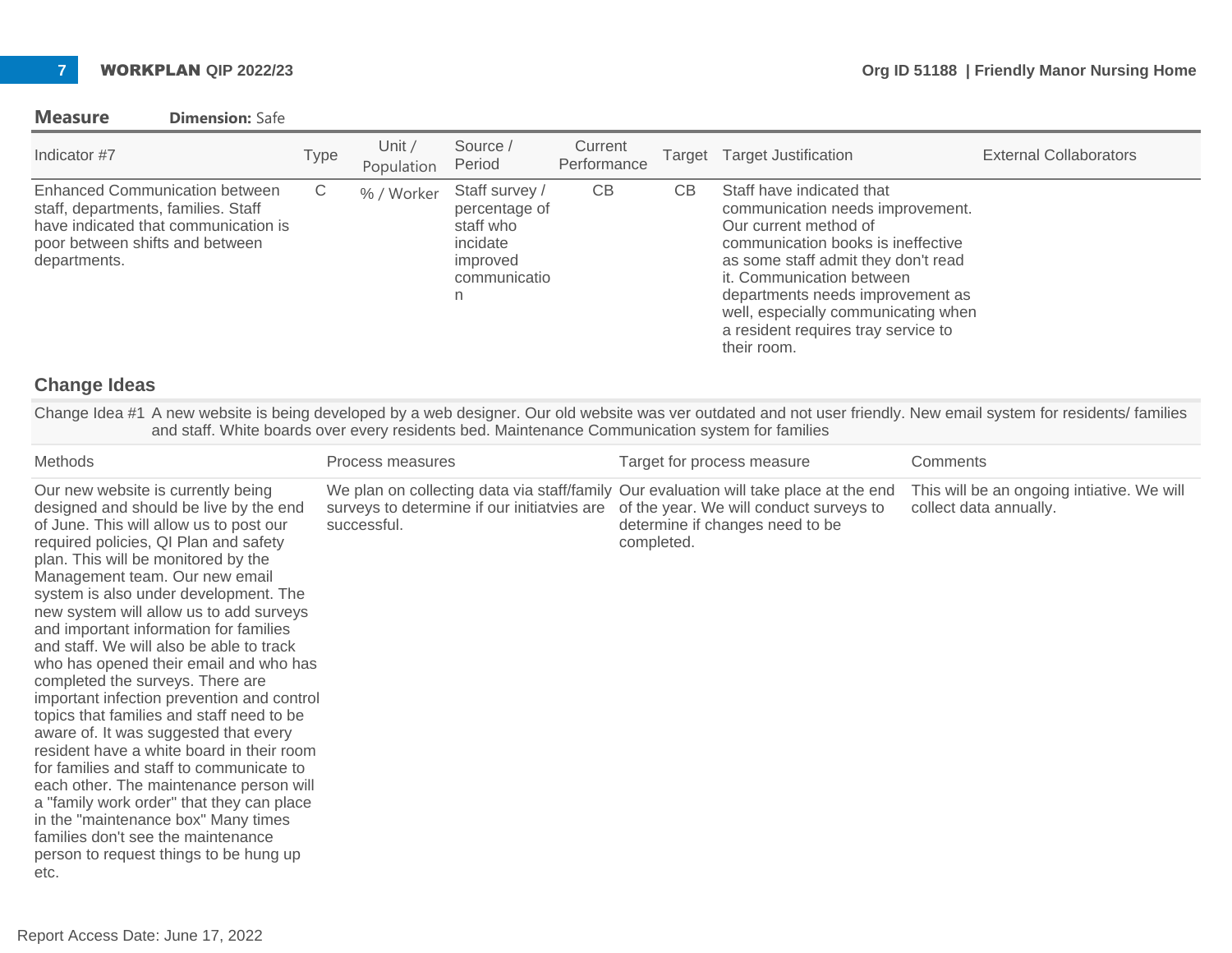#### **Measure Dimension:** Safe

| Indicator #7                                                                                                                                                            | Type | Unit /<br>Population | Source /<br>Period                                                                        | Current<br>Performance | Target | <b>Target Justification</b>                                                                                                                                                                                                                                                                                                       | <b>External Collaborators</b> |
|-------------------------------------------------------------------------------------------------------------------------------------------------------------------------|------|----------------------|-------------------------------------------------------------------------------------------|------------------------|--------|-----------------------------------------------------------------------------------------------------------------------------------------------------------------------------------------------------------------------------------------------------------------------------------------------------------------------------------|-------------------------------|
| <b>Enhanced Communication between</b><br>staff, departments, families. Staff<br>have indicated that communication is<br>poor between shifts and between<br>departments. | С    | % / Worker           | Staff survey /<br>percentage of<br>staff who<br>incidate<br>improved<br>communicatio<br>n | CB                     | CВ     | Staff have indicated that<br>communication needs improvement.<br>Our current method of<br>communication books is ineffective<br>as some staff admit they don't read<br>it. Communication between<br>departments needs improvement as<br>well, especially communicating when<br>a resident requires tray service to<br>their room. |                               |

### **Change Ideas**

Change Idea #1 A new website is being developed by a web designer. Our old website was ver outdated and not user friendly. New email system for residents/ families and staff. White boards over every residents bed. Maintenance Communication system for families

| <b>Methods</b>                                                                                                                                                                                                                                                                                                                                                                                                                                                                                                                                                                                                                                                                                                                                                                                                                                                                                                                                        | Process measures                                                                                                                                    | Target for process measure                                                               | Comments                                                             |
|-------------------------------------------------------------------------------------------------------------------------------------------------------------------------------------------------------------------------------------------------------------------------------------------------------------------------------------------------------------------------------------------------------------------------------------------------------------------------------------------------------------------------------------------------------------------------------------------------------------------------------------------------------------------------------------------------------------------------------------------------------------------------------------------------------------------------------------------------------------------------------------------------------------------------------------------------------|-----------------------------------------------------------------------------------------------------------------------------------------------------|------------------------------------------------------------------------------------------|----------------------------------------------------------------------|
| Our new website is currently being<br>designed and should be live by the end<br>of June. This will allow us to post our<br>required policies, QI Plan and safety<br>plan. This will be monitored by the<br>Management team. Our new email<br>system is also under development. The<br>new system will allow us to add surveys<br>and important information for families<br>and staff. We will also be able to track<br>who has opened their email and who has<br>completed the surveys. There are<br>important infection prevention and control<br>topics that families and staff need to be<br>aware of. It was suggested that every<br>resident have a white board in their room<br>for families and staff to communicate to<br>each other. The maintenance person will<br>a "family work order" that they can place<br>in the "maintenance box" Many times<br>families don't see the maintenance<br>person to request things to be hung up<br>etc. | We plan on collecting data via staff/family Our evaluation will take place at the end<br>surveys to determine if our initiatvies are<br>successful. | of the year. We will conduct surveys to<br>determine if changes need to be<br>completed. | This will be an ongoing intiative. We will<br>collect data annually. |